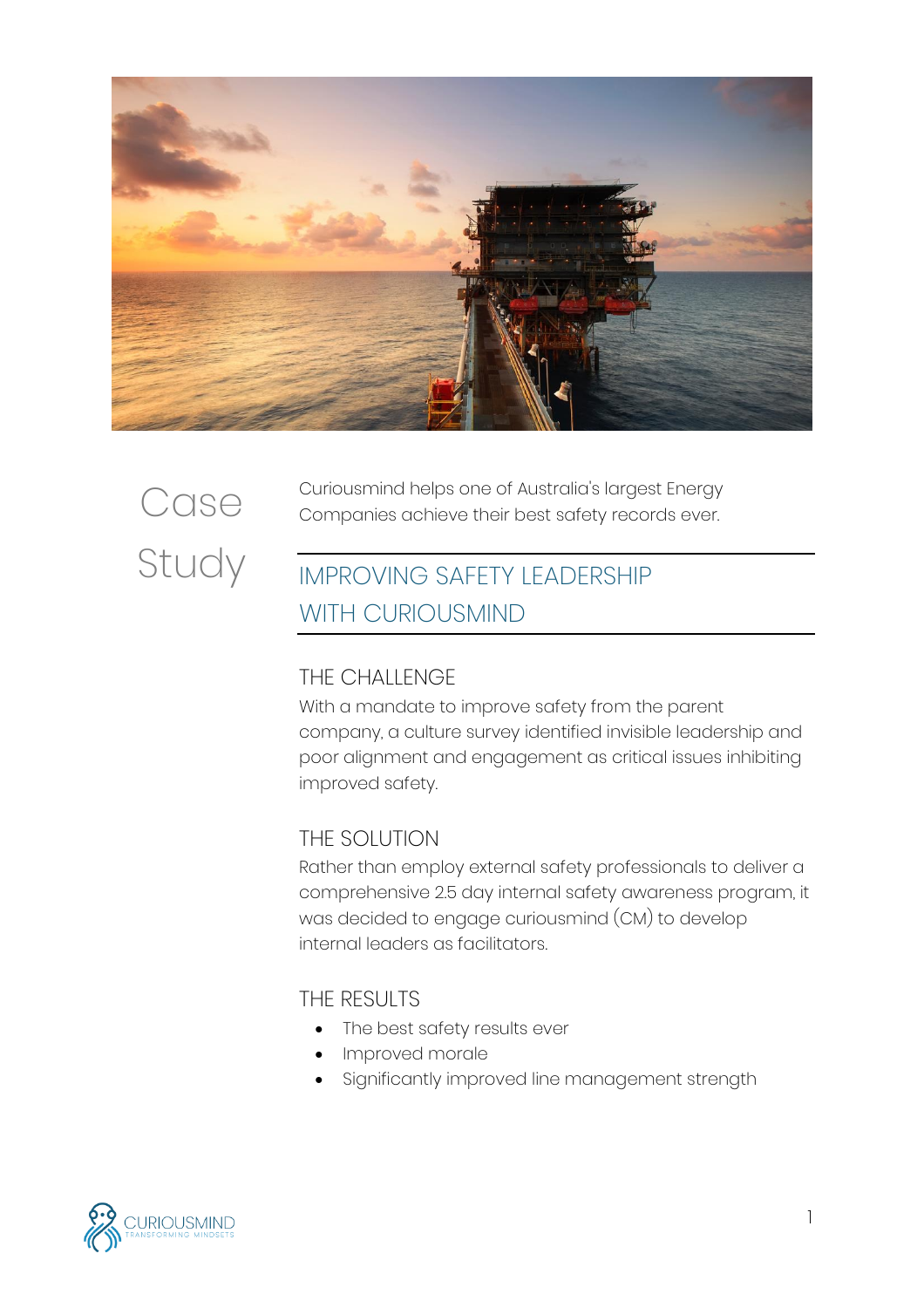

# **Case** Study

Curiousmind helps one of Australia's largest Energy Companies achieve their best safety records ever.

# IMPROVING SAFETY LEADERSHIP WITH CURIOUSMIND

# THE CHALLENGE

With a mandate to improve safety from the parent company, a culture survey identified invisible leadership and poor alignment and engagement as critical issues inhibiting improved safety.

# THE SOLUTION

Rather than employ external safety professionals to deliver a comprehensive 2.5 day internal safety awareness program, it was decided to engage curiousmind (CM) to develop internal leaders as facilitators.

# THE RESULTS

- The best safety results ever
- Improved morale
- Significantly improved line management strength

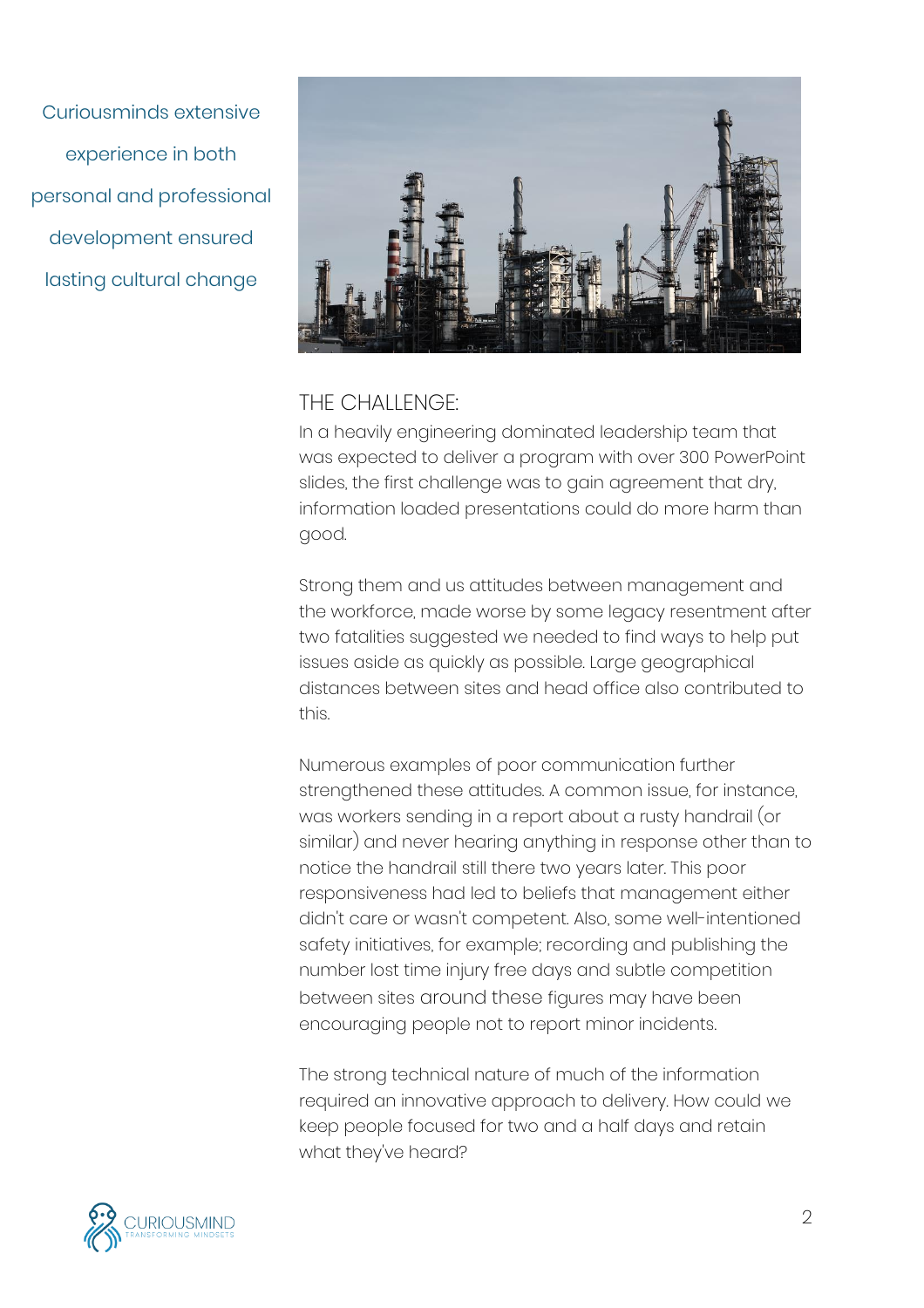Curiousminds extensive experience in both personal and professional development ensured lasting cultural change



#### THE CHALLENGE<sup>.</sup>

In a heavily engineering dominated leadership team that was expected to deliver a program with over 300 PowerPoint slides, the first challenge was to gain agreement that dry, information loaded presentations could do more harm than good.

Strong them and us attitudes between management and the workforce, made worse by some legacy resentment after two fatalities suggested we needed to find ways to help put issues aside as quickly as possible. Large geographical distances between sites and head office also contributed to this.

Numerous examples of poor communication further strengthened these attitudes. A common issue, for instance, was workers sending in a report about a rusty handrail (or similar) and never hearing anything in response other than to notice the handrail still there two years later. This poor responsiveness had led to beliefs that management either didn't care or wasn't competent. Also, some well-intentioned safety initiatives, for example; recording and publishing the number lost time injury free days and subtle competition between sites around these figures may have been encouraging people not to report minor incidents.

The strong technical nature of much of the information required an innovative approach to delivery. How could we keep people focused for two and a half days and retain what they've heard?

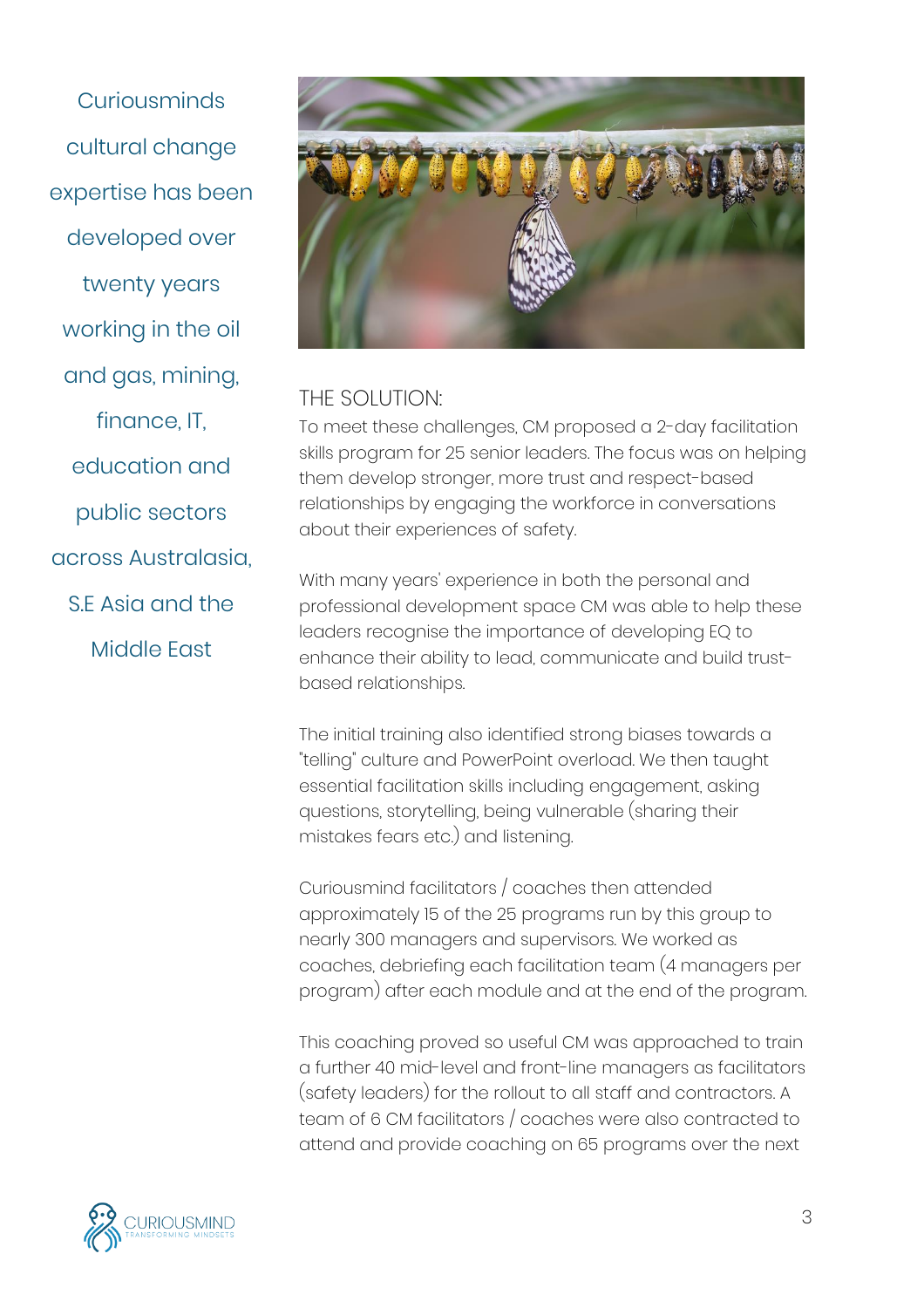**Curiousminds** cultural change expertise has been developed over twenty years working in the oil and gas, mining, finance, IT, education and public sectors across Australasia, S.E Asia and the Middle East



### THE SOLUTION:

To meet these challenges, CM proposed a 2-day facilitation skills program for 25 senior leaders. The focus was on helping them develop stronger, more trust and respect-based relationships by engaging the workforce in conversations about their experiences of safety.

With many years' experience in both the personal and professional development space CM was able to help these leaders recognise the importance of developing EQ to enhance their ability to lead, communicate and build trustbased relationships.

The initial training also identified strong biases towards a "telling" culture and PowerPoint overload. We then taught essential facilitation skills including engagement, asking questions, storytelling, being vulnerable (sharing their mistakes fears etc.) and listening.

Curiousmind facilitators / coaches then attended approximately 15 of the 25 programs run by this group to nearly 300 managers and supervisors. We worked as coaches, debriefing each facilitation team (4 managers per program) after each module and at the end of the program.

This coaching proved so useful CM was approached to train a further 40 mid-level and front-line managers as facilitators (safety leaders) for the rollout to all staff and contractors. A team of 6 CM facilitators / coaches were also contracted to attend and provide coaching on 65 programs over the next

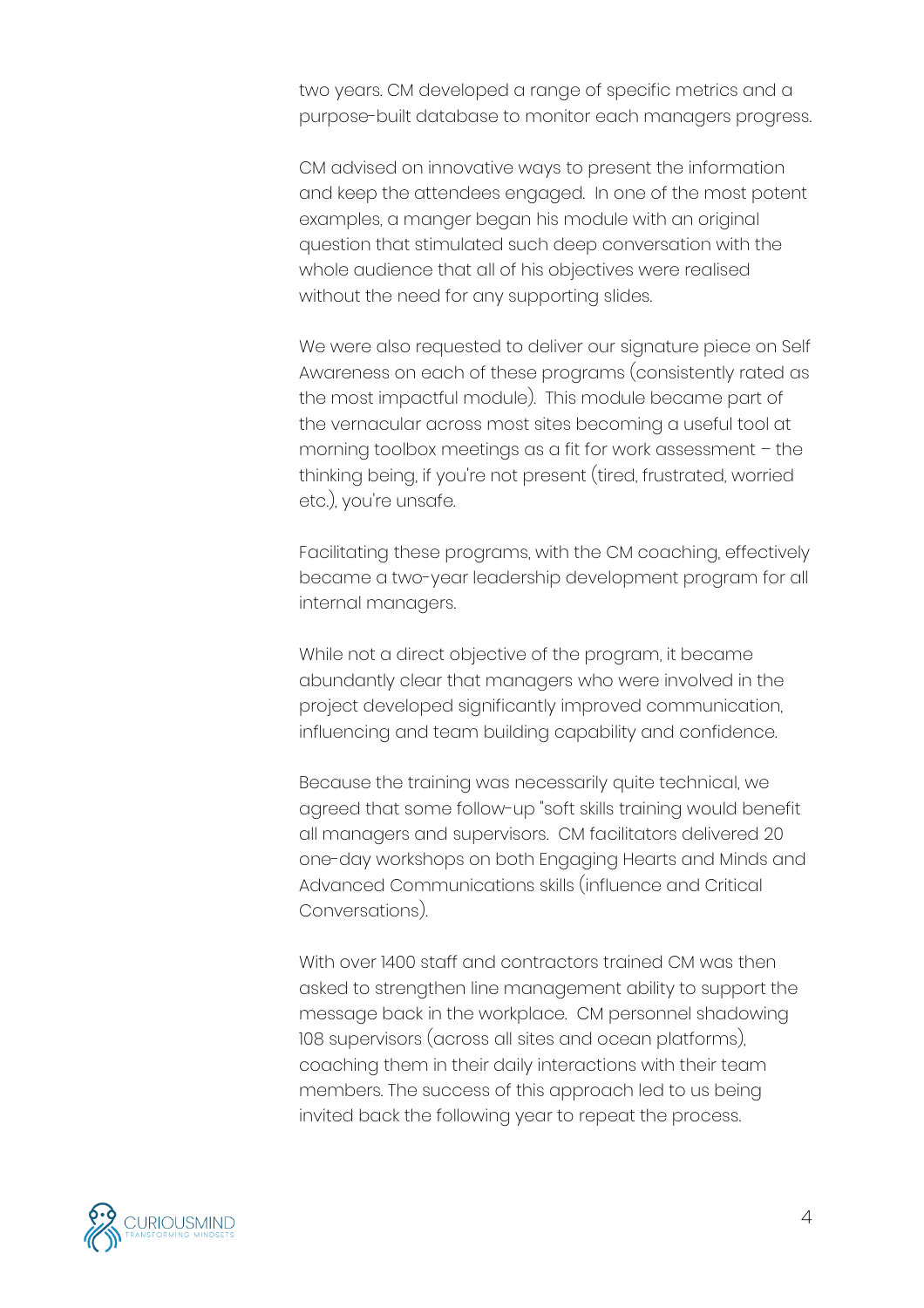two years. CM developed a range of specific metrics and a purpose-built database to monitor each managers progress.

CM advised on innovative ways to present the information and keep the attendees engaged. In one of the most potent examples, a manger began his module with an original question that stimulated such deep conversation with the whole audience that all of his objectives were realised without the need for any supporting slides.

We were also requested to deliver our signature piece on Self Awareness on each of these programs (consistently rated as the most impactful module). This module became part of the vernacular across most sites becoming a useful tool at morning toolbox meetings as a fit for work assessment – the thinking being, if you're not present (tired, frustrated, worried etc.), you're unsafe.

Facilitating these programs, with the CM coaching, effectively became a two-year leadership development program for all internal managers.

While not a direct objective of the program, it became abundantly clear that managers who were involved in the project developed significantly improved communication, influencing and team building capability and confidence.

Because the training was necessarily quite technical, we agreed that some follow-up "soft skills training would benefit all managers and supervisors. CM facilitators delivered 20 one-day workshops on both Engaging Hearts and Minds and Advanced Communications skills (influence and Critical Conversations).

With over 1400 staff and contractors trained CM was then asked to strengthen line management ability to support the message back in the workplace. CM personnel shadowing 108 supervisors (across all sites and ocean platforms), coaching them in their daily interactions with their team members. The success of this approach led to us being invited back the following year to repeat the process.